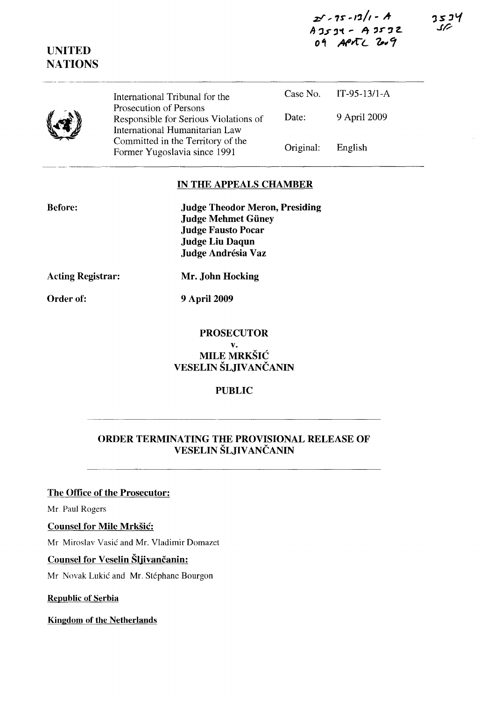ZI' .. **1S' - I'J/' -** *A-***A :JJ" ,"l'"** ~ **,.r:1 z..**  09 APATL 2009

 $3524$ 

| $\left(\mathbf{r}\right)$ | International Tribunal for the                                                                    |           | Case No. IT-95-13/1-A |  |
|---------------------------|---------------------------------------------------------------------------------------------------|-----------|-----------------------|--|
|                           | Prosecution of Persons<br>Responsible for Serious Violations of<br>International Humanitarian Law | Date:     | 9 April 2009          |  |
|                           | Committed in the Territory of the<br>Former Yugoslavia since 1991                                 | Original: | English               |  |

## **IN THE APPEALS CHAMBER**

| <b>Judge Theodor Meron, Presiding</b> |  |
|---------------------------------------|--|
| <b>Judge Mehmet Güney</b>             |  |
| <b>Judge Fausto Pocar</b>             |  |
| <b>Judge Liu Daqun</b>                |  |
| Judge Andrésia Vaz                    |  |

**Acting Registrar: Mr. John Hocking** 

**Order of: 9** April 2009

### **PROSECUTOR v.**  MILE MRKŠIĆ **VESELIN ŠLJIV** ANČANIN

#### **PUBLIC**

## **ORDER** TERMINA TING **THE PROVISIONAL RELEASE OF VESELIN ŠLJIV** AN ČANIN

### **The Office of the Prosecutor:**

Mr. Paul Rogers

### **Counsel for Mile** Mrkšić:

Mr Miroslav Vasić and Mr. Vladimir Domazet

#### **Counsel for Veselin** Šljivančanin:

Mr Novak Lukić and Mr. Stéphane Bourgon

**Republic of Serbia** 

**Kingdom of the Netherlands** 



**UNITED** 

**NATIONS** 

**Before:**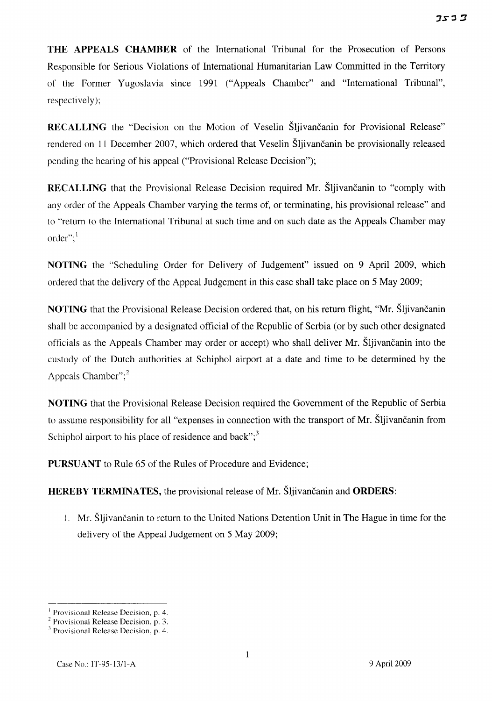**THE APPEALS CHAMBER** of the International Tribunal for the Prosecution of Persons Responsible for Serious Violations of International Humanitarian Law Committed in the Territory of the Former Yugoslavia since 1991 ("Appeals Chamber" and "International Tribunal", respectively);

**RECALLING** the "Decision on the Motion of Veselin Šljivančanin for Provisional Release" rendered on II December 2007, which ordered that Veselin Šljivančanin be provisionally released pending the hearing of his appeal ("Provisional Release Decision");

**RECALLING** that the Provisional Release Decision required Mr. Šljivančanin to "comply with any order of the Appeals Chamber varying the terms of, or terminating, his provisional release" and to "retum to the International Tribunal at such time and on such date as the Appeals Chamber may order"; $<sup>1</sup>$ </sup>

**NOTING** the "Scheduling Order for Delivery of Judgement" issued on 9 April 2009, which ordered that the delivery of the Appeal Judgement in this case shall take place on 5 May 2009;

**NOTING** that the Provisional Release Decision ordered that, on his retum flight, "Mr. Šljivančanin shall be accompanied by a designated official of the Republic of Serbia (or by such other designated officials as the Appeals Chamber may order or accept) who shall deliver Mr. Šljivančanin into the custody of the Dutch authorities at Schiphol airport at a date and time to be determined by the Appeals Chamber"; $<sup>2</sup>$ </sup>

**NOTING** that the Provisional Release Decision required the Government of the Republic of Serbia to assume responsibility for all "expenses in connection with the transport of Mr. Šljivančanin from Schiphol airport to his place of residence and back"; $3$ 

**PURSUANT** to Rule 65 of the Rules of Procedure and Evidence;

**HEREBY TERMINATES,** the provisional release of Mr. Šljivančanin and **ORDERS:** 

I. Mr. Šljivančanin to retum to the United Nations Detention Unit in The Hague in time for the delivery of the Appeal Judgement on 5 May 2009;

J Provisional Release Decision, p. 4.

 $2$  Provisional Release Decision, p. 3.

 $^3$  Provisional Release Decision, p. 4.